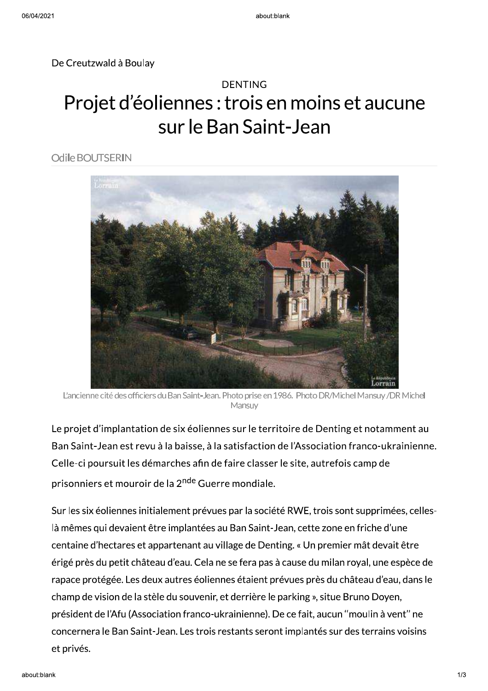De Creutzwald à Boulay



L'ancienne cité des officiers du Ban Saint-Jean. Photo prise en 1986. Photo DR/Michel Mansay/DR Michel<br>Le projet d'implantation de six éoliennes sur le territoire de Denting et notamment au<br>Ban Saint-Jean est revu à la bai champ de vision de la stèle du souvenir, et derrière le parking », situe Bruno Doyen, président de l'Afu (Association franco-ukrainienne). De ce fait, aucun "moulin à vent" ne concernera le Ban Saint-Jean. Les trois restants seront implantés sur des terrains voisins et privés.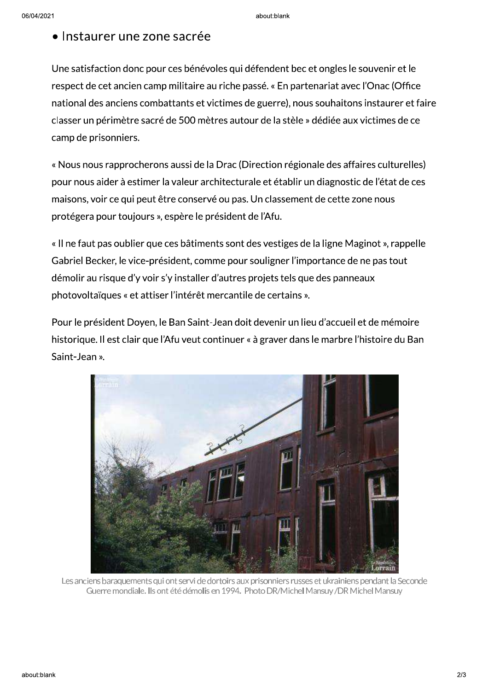## • Instaurer une zone sacrée

Une satisfaction donc pour ces bénévoles qui défendent bec et ongles le souvenir et le respect de cet ancien camp militaire au riche passé. « En partenariat avec l'Onac (Office national des anciens combattants et victimes de guerre), nous souhaitons instaurer et faire classer un périmètre sacré de 500 mètres autour de la stèle » dédiée aux victimes de ce camp de prisonniers.

« Nous nous rapprocherons aussi de la Drac (Direction régionale des affaires culturelles) pour nous aider à estimer la valeur architecturale et établir un diagnostic de l'état de ces maisons, voir ce qui peut être conservé ou pas. Un classement de cette zone nous protégera pour toujours », espère le président de l'Afu.

« Il ne faut pas oublier que ces bâtiments sont des vestiges de la ligne Maginot », rappelle Gabriel Becker, le vice-président, comme pour souligner l'importance de ne pas tout démolir au risque d'y voir s'y installer d'autres projets tels que des panneaux photovoltaïques « et attiser l'intérêt mercantile de certains ».

Pour le président Doyen, le Ban Saint-Jean doit devenir un lieu d'accueil et de mémoire historique. Il est clair que l'Afu veut continuer « à graver dans le marbre l'histoire du Ban Saint-Jean ».



Les anciens baraquements qui ont servi de dortoirs aux prisonniers russes et ukrainiens pendant la Seconde Guerre mondiale. Ils ont été démolis en 1994. Photo DR/Michel Mansuy /DR Michel Mansuy